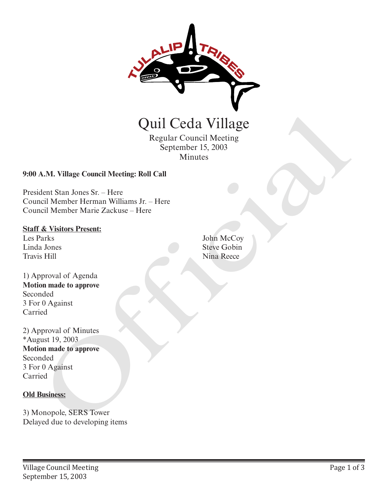

Regular Council Meeting September 15, 2003 Minutes

## **9:00 A.M. Village Council Meeting: Roll Call**

President Stan Jones Sr. – Here Council Member Herman Williams Jr. – Here Council Member Marie Zackuse – Here

#### **Staff & Visitors Present:**

Les Parks Linda Jones Travis Hill

1) Approval of Agenda **Motion made to approve** Seconded 3 For 0 Against Carried

2) Approval of Minutes \*August 19, 2003 **Motion made to approve** Seconded 3 For 0 Against Carried **Quil Ceda Village**<br>
Regular Council Meeting<br>
September 15, 2003<br>
Minutes<br>
20:00 A.M. Village Council Meeting: Roll Call<br>
President Stan Jones Sr. – Here<br>
Council Member Herman Williams Jr. – Here<br>
Estar<u>f & Visitors Prese</u>

### **Old Business:**

3) Monopole, SERS Tower

John McCoy Steve Gobin Nina Reece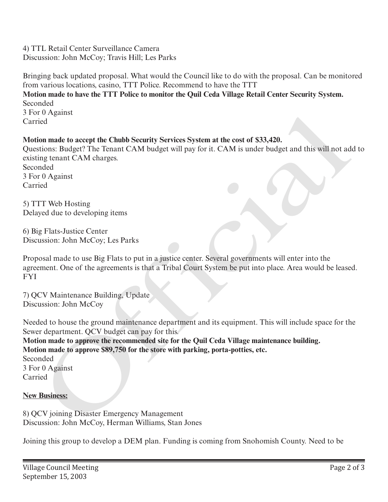4) TTL Retail Center Surveillance Camera Discussion: John McCoy; Travis Hill; Les Parks

Bringing back updated proposal. What would the Council like to do with the proposal. Can be monitored from various locations, casino, TTT Police. Recommend to have the TTT **Motion made to have the TTT Police to monitor the Quil Ceda Village Retail Center Security System.** Seconded 3 For 0 Against Carried

# **Motion made to accept the Chubb Security Services System at the cost of \$33,420.**

Questions: Budget? The Tenant CAM budget will pay for it. CAM is under budget and this will not add to existing tenant CAM charges. Seconded 3 For 0 Against Carried r Vaganst<br>
richann made to accept the Chubb Security Services System at the cost of \$33,420.<br>
includion made to accept the Chubb Security Services System at the cost of \$33,420.<br>
includions: Budget Vibe leaders.<br>
ing tenan

5) TTT Web Hosting Delayed due to developing items

6) Big Flats-Justice Center Discussion: John McCoy; Les Parks

Proposal made to use Big Flats to put in a justice center. Several governments will enter into the agreement. One of the agreements is that a Tribal Court System be put into place. Area would be leased. FYI

7) QCV Maintenance Building, Update Discussion: John McCoy

Needed to house the ground maintenance department and its equipment. This will include space for the Sewer department. QCV budget can pay for this.

**Motion made to approve the recommended site for the Quil Ceda Village maintenance building. Motion made to approve \$89,750 for the store with parking, porta-potties, etc.** Seconded 3 For 0 Against Carried

### **New Business:**

8) QCV joining Disaster Emergency Management Discussion: John McCoy, Herman Williams, Stan Jones

Joining this group to develop a DEM plan. Funding is coming from Snohomish County. Need to be